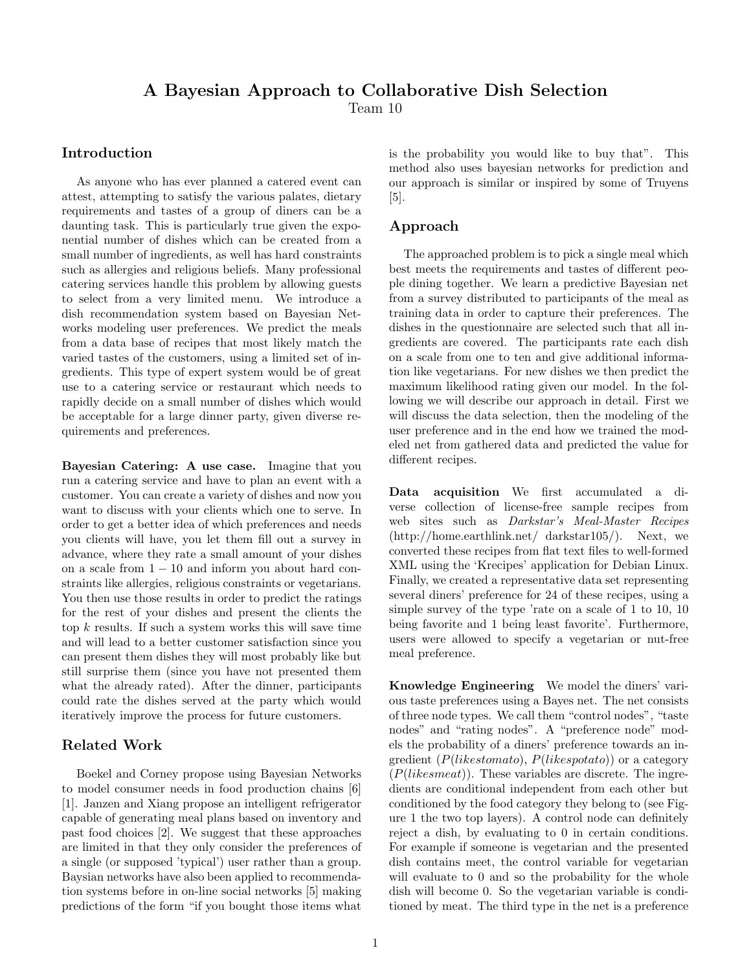# A Bayesian Approach to Collaborative Dish Selection

Team 10

# Introduction

As anyone who has ever planned a catered event can attest, attempting to satisfy the various palates, dietary requirements and tastes of a group of diners can be a daunting task. This is particularly true given the exponential number of dishes which can be created from a small number of ingredients, as well has hard constraints such as allergies and religious beliefs. Many professional catering services handle this problem by allowing guests to select from a very limited menu. We introduce a dish recommendation system based on Bayesian Networks modeling user preferences. We predict the meals from a data base of recipes that most likely match the varied tastes of the customers, using a limited set of ingredients. This type of expert system would be of great use to a catering service or restaurant which needs to rapidly decide on a small number of dishes which would be acceptable for a large dinner party, given diverse requirements and preferences.

Bayesian Catering: A use case. Imagine that you run a catering service and have to plan an event with a customer. You can create a variety of dishes and now you want to discuss with your clients which one to serve. In order to get a better idea of which preferences and needs you clients will have, you let them fill out a survey in advance, where they rate a small amount of your dishes on a scale from  $1 - 10$  and inform you about hard constraints like allergies, religious constraints or vegetarians. You then use those results in order to predict the ratings for the rest of your dishes and present the clients the top  $k$  results. If such a system works this will save time and will lead to a better customer satisfaction since you can present them dishes they will most probably like but still surprise them (since you have not presented them what the already rated). After the dinner, participants could rate the dishes served at the party which would iteratively improve the process for future customers.

# Related Work

Boekel and Corney propose using Bayesian Networks to model consumer needs in food production chains [6] [1]. Janzen and Xiang propose an intelligent refrigerator capable of generating meal plans based on inventory and past food choices [2]. We suggest that these approaches are limited in that they only consider the preferences of a single (or supposed 'typical') user rather than a group. Baysian networks have also been applied to recommendation systems before in on-line social networks [5] making predictions of the form "if you bought those items what

is the probability you would like to buy that". This method also uses bayesian networks for prediction and our approach is similar or inspired by some of Truyens [5].

## Approach

The approached problem is to pick a single meal which best meets the requirements and tastes of different people dining together. We learn a predictive Bayesian net from a survey distributed to participants of the meal as training data in order to capture their preferences. The dishes in the questionnaire are selected such that all ingredients are covered. The participants rate each dish on a scale from one to ten and give additional information like vegetarians. For new dishes we then predict the maximum likelihood rating given our model. In the following we will describe our approach in detail. First we will discuss the data selection, then the modeling of the user preference and in the end how we trained the modeled net from gathered data and predicted the value for different recipes.

Data acquisition We first accumulated a diverse collection of license-free sample recipes from web sites such as Darkstar's Meal-Master Recipes (http://home.earthlink.net/ darkstar105/). Next, we converted these recipes from flat text files to well-formed XML using the 'Krecipes' application for Debian Linux. Finally, we created a representative data set representing several diners' preference for 24 of these recipes, using a simple survey of the type 'rate on a scale of 1 to 10, 10 being favorite and 1 being least favorite'. Furthermore, users were allowed to specify a vegetarian or nut-free meal preference.

Knowledge Engineering We model the diners' various taste preferences using a Bayes net. The net consists of three node types. We call them "control nodes", "taste nodes" and "rating nodes". A "preference node" models the probability of a diners' preference towards an ingredient ( $P(likestomato)$ ,  $P(likespotato)$ ) or a category  $(P(likesmeat))$ . These variables are discrete. The ingredients are conditional independent from each other but conditioned by the food category they belong to (see Figure 1 the two top layers). A control node can definitely reject a dish, by evaluating to 0 in certain conditions. For example if someone is vegetarian and the presented dish contains meet, the control variable for vegetarian will evaluate to 0 and so the probability for the whole dish will become 0. So the vegetarian variable is conditioned by meat. The third type in the net is a preference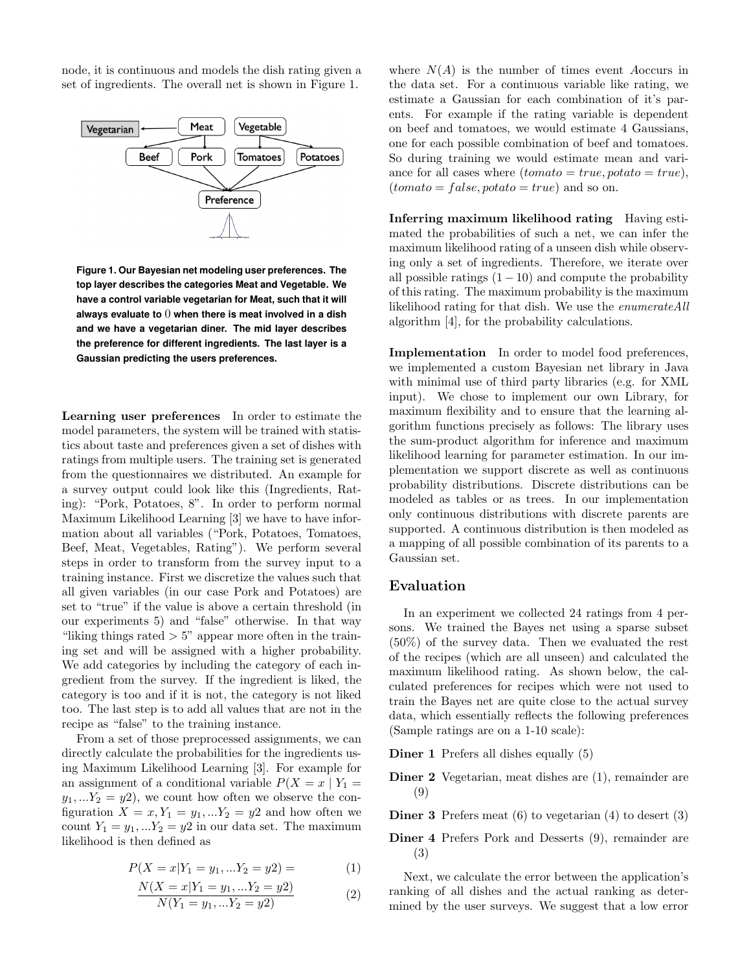node, it is continuous and models the dish rating given a set of ingredients. The overall net is shown in Figure 1.



**Figure 1. Our Bayesian net modeling user preferences. The top layer describes the categories Meat and Vegetable. We have a control variable vegetarian for Meat, such that it will always evaluate to** 0 **when there is meat involved in a dish and we have a vegetarian diner. The mid layer describes the preference for different ingredients. The last layer is a Gaussian predicting the users preferences.**

Learning user preferences In order to estimate the model parameters, the system will be trained with statistics about taste and preferences given a set of dishes with ratings from multiple users. The training set is generated from the questionnaires we distributed. An example for a survey output could look like this (Ingredients, Rating): "Pork, Potatoes, 8". In order to perform normal Maximum Likelihood Learning [3] we have to have information about all variables ("Pork, Potatoes, Tomatoes, Beef, Meat, Vegetables, Rating"). We perform several steps in order to transform from the survey input to a training instance. First we discretize the values such that all given variables (in our case Pork and Potatoes) are set to "true" if the value is above a certain threshold (in our experiments 5) and "false" otherwise. In that way "liking things rated  $> 5$ " appear more often in the training set and will be assigned with a higher probability. We add categories by including the category of each ingredient from the survey. If the ingredient is liked, the category is too and if it is not, the category is not liked too. The last step is to add all values that are not in the recipe as "false" to the training instance.

From a set of those preprocessed assignments, we can directly calculate the probabilities for the ingredients using Maximum Likelihood Learning [3]. For example for an assignment of a conditional variable  $P(X = x | Y_1 =$  $y_1,...Y_2 = y_2$ , we count how often we observe the configuration  $X = x, Y_1 = y_1, \ldots Y_2 = y_2$  and how often we count  $Y_1 = y_1, \ldots Y_2 = y_2$  in our data set. The maximum likelihood is then defined as

$$
P(X = x | Y_1 = y_1, \dots Y_2 = y_2) = \tag{1}
$$

$$
\frac{N(X = x|Y_1 = y_1, \dots Y_2 = y2)}{N(Y_1 = y_1, \dots Y_2 = y2)}
$$
\n(2)

where  $N(A)$  is the number of times event Aoccurs in the data set. For a continuous variable like rating, we estimate a Gaussian for each combination of it's parents. For example if the rating variable is dependent on beef and tomatoes, we would estimate 4 Gaussians, one for each possible combination of beef and tomatoes. So during training we would estimate mean and variance for all cases where  $(tomato = true, potato = true),$  $(tomato = false, potato = true)$  and so on.

Inferring maximum likelihood rating Having estimated the probabilities of such a net, we can infer the maximum likelihood rating of a unseen dish while observing only a set of ingredients. Therefore, we iterate over all possible ratings  $(1 - 10)$  and compute the probability of this rating. The maximum probability is the maximum likelihood rating for that dish. We use the enumerateAll algorithm [4], for the probability calculations.

Implementation In order to model food preferences, we implemented a custom Bayesian net library in Java with minimal use of third party libraries (e.g. for XML input). We chose to implement our own Library, for maximum flexibility and to ensure that the learning algorithm functions precisely as follows: The library uses the sum-product algorithm for inference and maximum likelihood learning for parameter estimation. In our implementation we support discrete as well as continuous probability distributions. Discrete distributions can be modeled as tables or as trees. In our implementation only continuous distributions with discrete parents are supported. A continuous distribution is then modeled as a mapping of all possible combination of its parents to a Gaussian set.

#### Evaluation

In an experiment we collected 24 ratings from 4 persons. We trained the Bayes net using a sparse subset (50%) of the survey data. Then we evaluated the rest of the recipes (which are all unseen) and calculated the maximum likelihood rating. As shown below, the calculated preferences for recipes which were not used to train the Bayes net are quite close to the actual survey data, which essentially reflects the following preferences (Sample ratings are on a 1-10 scale):

Diner 1 Prefers all dishes equally (5)

Diner 2 Vegetarian, meat dishes are (1), remainder are (9)

Diner 3 Prefers meat (6) to vegetarian (4) to desert (3)

Diner 4 Prefers Pork and Desserts (9), remainder are (3)

Next, we calculate the error between the application's ranking of all dishes and the actual ranking as determined by the user surveys. We suggest that a low error